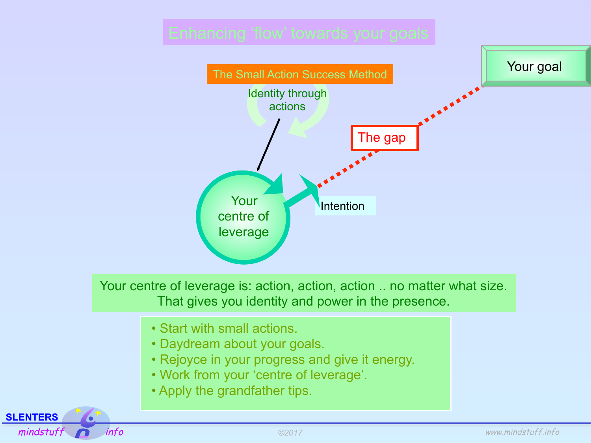

**SLENTERS**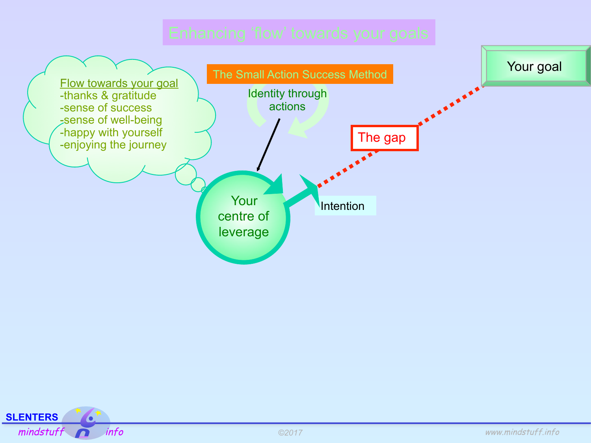

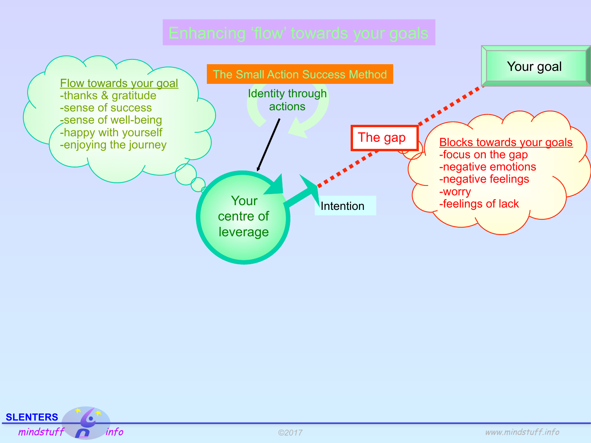

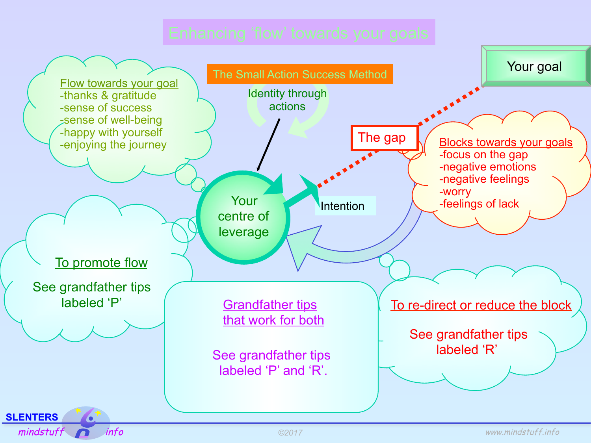